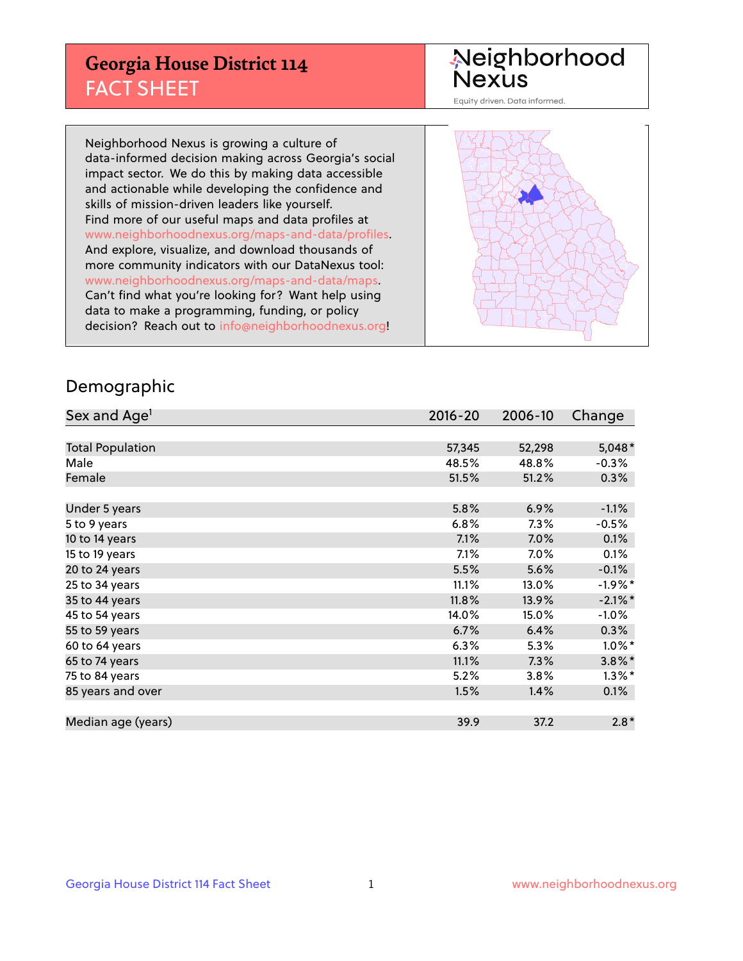## **Georgia House District 114** FACT SHEET

# Neighborhood<br>Nexus

Equity driven. Data informed.

Neighborhood Nexus is growing a culture of data-informed decision making across Georgia's social impact sector. We do this by making data accessible and actionable while developing the confidence and skills of mission-driven leaders like yourself. Find more of our useful maps and data profiles at www.neighborhoodnexus.org/maps-and-data/profiles. And explore, visualize, and download thousands of more community indicators with our DataNexus tool: www.neighborhoodnexus.org/maps-and-data/maps. Can't find what you're looking for? Want help using data to make a programming, funding, or policy decision? Reach out to [info@neighborhoodnexus.org!](mailto:info@neighborhoodnexus.org)



### Demographic

| Sex and Age <sup>1</sup> | $2016 - 20$ | 2006-10 | Change     |
|--------------------------|-------------|---------|------------|
|                          |             |         |            |
| <b>Total Population</b>  | 57,345      | 52,298  | $5,048*$   |
| Male                     | 48.5%       | 48.8%   | $-0.3%$    |
| Female                   | 51.5%       | 51.2%   | 0.3%       |
|                          |             |         |            |
| Under 5 years            | 5.8%        | 6.9%    | $-1.1%$    |
| 5 to 9 years             | 6.8%        | 7.3%    | $-0.5\%$   |
| 10 to 14 years           | 7.1%        | $7.0\%$ | 0.1%       |
| 15 to 19 years           | 7.1%        | 7.0%    | 0.1%       |
| 20 to 24 years           | 5.5%        | 5.6%    | $-0.1%$    |
| 25 to 34 years           | 11.1%       | 13.0%   | $-1.9%$ *  |
| 35 to 44 years           | 11.8%       | 13.9%   | $-2.1\%$ * |
| 45 to 54 years           | 14.0%       | 15.0%   | $-1.0%$    |
| 55 to 59 years           | 6.7%        | 6.4%    | $0.3\%$    |
| 60 to 64 years           | 6.3%        | 5.3%    | $1.0\%$ *  |
| 65 to 74 years           | 11.1%       | 7.3%    | $3.8\%$ *  |
| 75 to 84 years           | 5.2%        | 3.8%    | $1.3\%$ *  |
| 85 years and over        | 1.5%        | 1.4%    | 0.1%       |
|                          |             |         |            |
| Median age (years)       | 39.9        | 37.2    | $2.8*$     |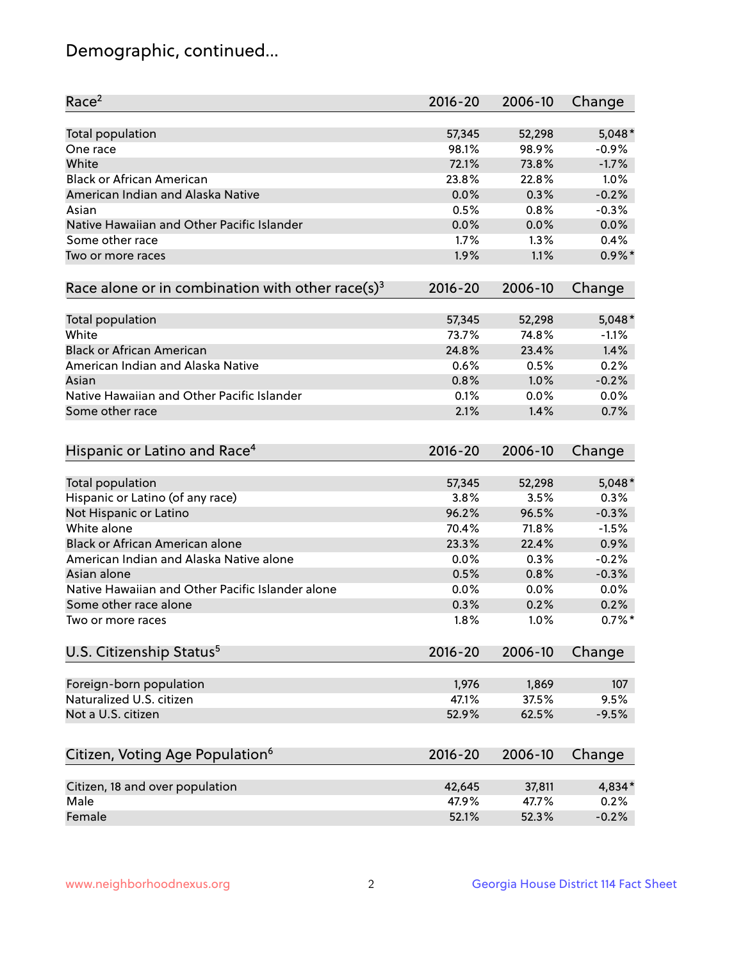## Demographic, continued...

| Race <sup>2</sup>                                            | $2016 - 20$ | 2006-10 | Change    |
|--------------------------------------------------------------|-------------|---------|-----------|
| <b>Total population</b>                                      | 57,345      | 52,298  | $5,048*$  |
| One race                                                     | 98.1%       | 98.9%   | $-0.9%$   |
| White                                                        | 72.1%       | 73.8%   | $-1.7%$   |
| <b>Black or African American</b>                             | 23.8%       | 22.8%   | 1.0%      |
| American Indian and Alaska Native                            | 0.0%        | 0.3%    | $-0.2%$   |
| Asian                                                        | 0.5%        | 0.8%    | $-0.3%$   |
| Native Hawaiian and Other Pacific Islander                   | 0.0%        | 0.0%    | 0.0%      |
| Some other race                                              | 1.7%        | 1.3%    | 0.4%      |
| Two or more races                                            | 1.9%        | 1.1%    | $0.9\%$ * |
| Race alone or in combination with other race(s) <sup>3</sup> | $2016 - 20$ | 2006-10 | Change    |
| Total population                                             | 57,345      | 52,298  | $5,048*$  |
| White                                                        | 73.7%       | 74.8%   | $-1.1%$   |
| <b>Black or African American</b>                             | 24.8%       | 23.4%   | 1.4%      |
| American Indian and Alaska Native                            | 0.6%        | 0.5%    | 0.2%      |
| Asian                                                        | 0.8%        | 1.0%    | $-0.2%$   |
| Native Hawaiian and Other Pacific Islander                   | 0.1%        | 0.0%    | 0.0%      |
| Some other race                                              | 2.1%        | 1.4%    | 0.7%      |
| Hispanic or Latino and Race <sup>4</sup>                     | $2016 - 20$ | 2006-10 | Change    |
| <b>Total population</b>                                      | 57,345      | 52,298  | $5,048*$  |
| Hispanic or Latino (of any race)                             | 3.8%        | 3.5%    | 0.3%      |
| Not Hispanic or Latino                                       | 96.2%       | 96.5%   | $-0.3%$   |
| White alone                                                  | 70.4%       | 71.8%   | $-1.5%$   |
| Black or African American alone                              | 23.3%       | 22.4%   | 0.9%      |
| American Indian and Alaska Native alone                      | 0.0%        | 0.3%    | $-0.2%$   |
| Asian alone                                                  | 0.5%        | 0.8%    | $-0.3%$   |
| Native Hawaiian and Other Pacific Islander alone             | 0.0%        | 0.0%    | 0.0%      |
| Some other race alone                                        | 0.3%        | 0.2%    | 0.2%      |
| Two or more races                                            | 1.8%        | 1.0%    | $0.7%$ *  |
| U.S. Citizenship Status <sup>5</sup>                         | $2016 - 20$ | 2006-10 | Change    |
|                                                              |             |         |           |
| Foreign-born population                                      | 1,976       | 1,869   | 107       |
| Naturalized U.S. citizen                                     | 47.1%       | 37.5%   | 9.5%      |
| Not a U.S. citizen                                           | 52.9%       | 62.5%   | $-9.5%$   |
| Citizen, Voting Age Population <sup>6</sup>                  | 2016-20     | 2006-10 | Change    |
| Citizen, 18 and over population                              | 42,645      | 37,811  | 4,834*    |
| Male                                                         | 47.9%       | 47.7%   | 0.2%      |
| Female                                                       | 52.1%       | 52.3%   | $-0.2%$   |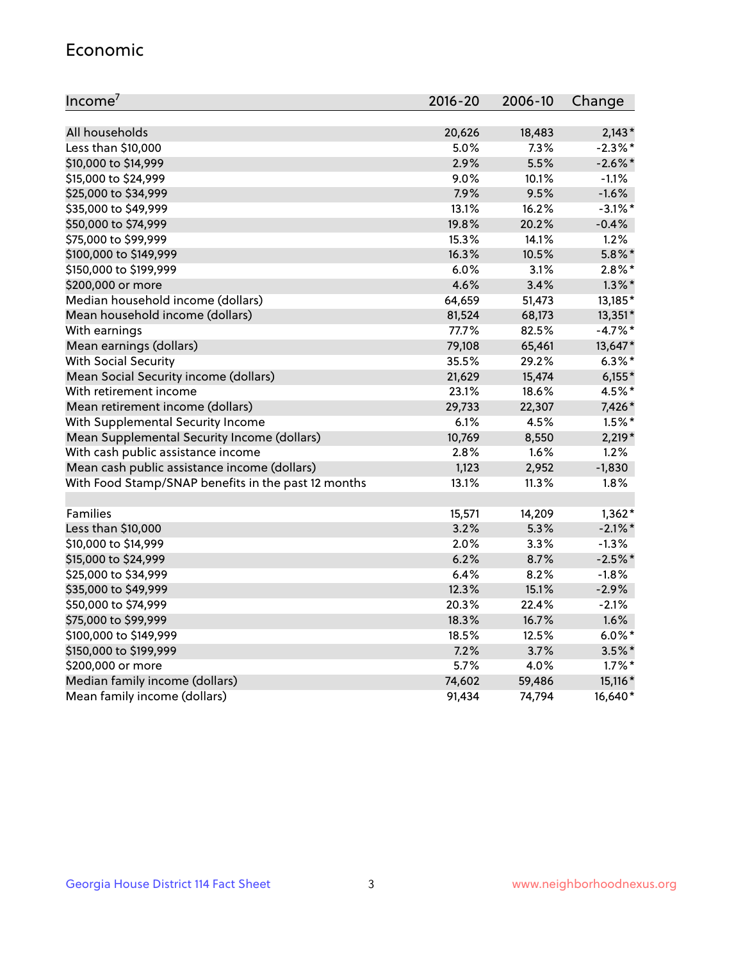#### Economic

| Income <sup>7</sup>                                 | $2016 - 20$ | 2006-10 | Change     |
|-----------------------------------------------------|-------------|---------|------------|
|                                                     |             |         |            |
| All households                                      | 20,626      | 18,483  | $2,143*$   |
| Less than \$10,000                                  | 5.0%        | 7.3%    | $-2.3\%$ * |
| \$10,000 to \$14,999                                | 2.9%        | 5.5%    | $-2.6\%$ * |
| \$15,000 to \$24,999                                | 9.0%        | 10.1%   | $-1.1%$    |
| \$25,000 to \$34,999                                | 7.9%        | 9.5%    | $-1.6%$    |
| \$35,000 to \$49,999                                | 13.1%       | 16.2%   | $-3.1\%$ * |
| \$50,000 to \$74,999                                | 19.8%       | 20.2%   | $-0.4%$    |
| \$75,000 to \$99,999                                | 15.3%       | 14.1%   | 1.2%       |
| \$100,000 to \$149,999                              | 16.3%       | 10.5%   | $5.8\%$ *  |
| \$150,000 to \$199,999                              | 6.0%        | 3.1%    | $2.8\%$ *  |
| \$200,000 or more                                   | 4.6%        | 3.4%    | $1.3\%$ *  |
| Median household income (dollars)                   | 64,659      | 51,473  | 13,185*    |
| Mean household income (dollars)                     | 81,524      | 68,173  | 13,351*    |
| With earnings                                       | 77.7%       | 82.5%   | $-4.7%$ *  |
| Mean earnings (dollars)                             | 79,108      | 65,461  | 13,647*    |
| <b>With Social Security</b>                         | 35.5%       | 29.2%   | $6.3\%$ *  |
| Mean Social Security income (dollars)               | 21,629      | 15,474  | $6,155*$   |
| With retirement income                              | 23.1%       | 18.6%   | 4.5%*      |
| Mean retirement income (dollars)                    | 29,733      | 22,307  | 7,426*     |
| With Supplemental Security Income                   | 6.1%        | 4.5%    | $1.5\%$ *  |
| Mean Supplemental Security Income (dollars)         | 10,769      | 8,550   | 2,219*     |
| With cash public assistance income                  | 2.8%        | 1.6%    | 1.2%       |
| Mean cash public assistance income (dollars)        | 1,123       | 2,952   | $-1,830$   |
| With Food Stamp/SNAP benefits in the past 12 months | 13.1%       | 11.3%   | 1.8%       |
|                                                     |             |         |            |
| Families                                            | 15,571      | 14,209  | $1,362*$   |
| Less than \$10,000                                  | 3.2%        | 5.3%    | $-2.1\%$ * |
| \$10,000 to \$14,999                                | 2.0%        | 3.3%    | $-1.3%$    |
| \$15,000 to \$24,999                                | 6.2%        | 8.7%    | $-2.5%$ *  |
| \$25,000 to \$34,999                                | 6.4%        | 8.2%    | $-1.8%$    |
| \$35,000 to \$49,999                                | 12.3%       | 15.1%   | $-2.9%$    |
| \$50,000 to \$74,999                                | 20.3%       | 22.4%   | $-2.1%$    |
| \$75,000 to \$99,999                                | 18.3%       | 16.7%   | 1.6%       |
| \$100,000 to \$149,999                              | 18.5%       | 12.5%   | $6.0\%$ *  |
| \$150,000 to \$199,999                              | 7.2%        | 3.7%    | $3.5\%$ *  |
| \$200,000 or more                                   | 5.7%        | 4.0%    | $1.7\%$ *  |
| Median family income (dollars)                      | 74,602      | 59,486  | 15,116*    |
| Mean family income (dollars)                        | 91,434      | 74,794  | 16,640*    |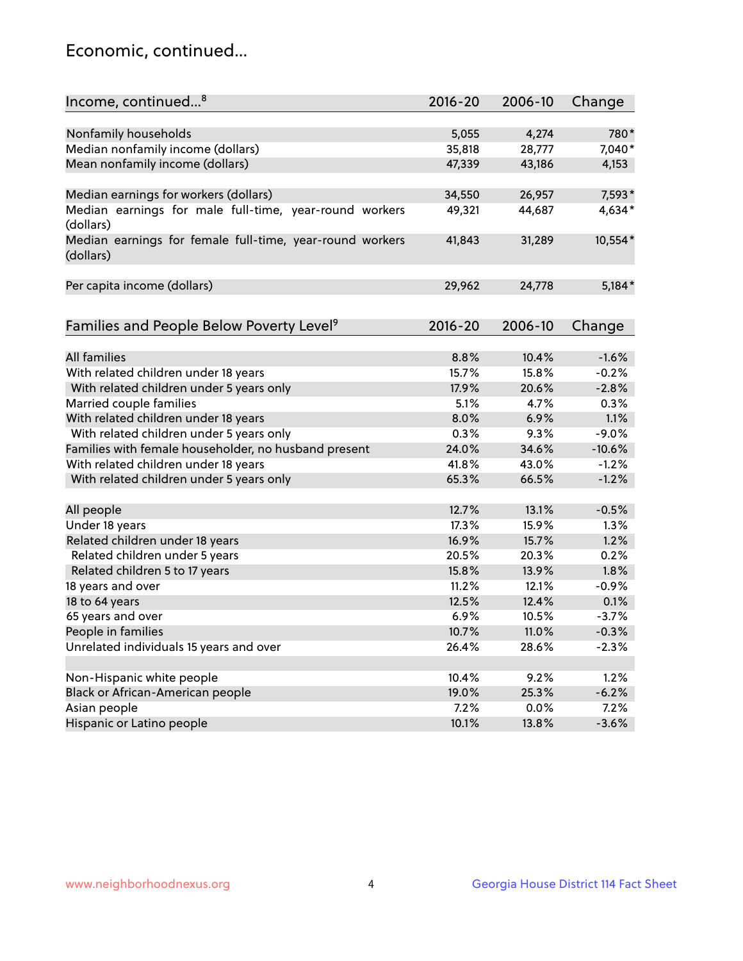## Economic, continued...

| Income, continued <sup>8</sup>                           | $2016 - 20$ | 2006-10 | Change   |
|----------------------------------------------------------|-------------|---------|----------|
|                                                          |             |         |          |
| Nonfamily households                                     | 5,055       | 4,274   | 780*     |
| Median nonfamily income (dollars)                        | 35,818      | 28,777  | 7,040*   |
| Mean nonfamily income (dollars)                          | 47,339      | 43,186  | 4,153    |
|                                                          |             |         |          |
| Median earnings for workers (dollars)                    | 34,550      | 26,957  | 7,593*   |
| Median earnings for male full-time, year-round workers   | 49,321      | 44,687  | 4,634*   |
| (dollars)                                                |             |         |          |
| Median earnings for female full-time, year-round workers | 41,843      | 31,289  | 10,554*  |
| (dollars)                                                |             |         |          |
|                                                          |             |         |          |
| Per capita income (dollars)                              | 29,962      | 24,778  | $5,184*$ |
|                                                          |             |         |          |
| Families and People Below Poverty Level <sup>9</sup>     | 2016-20     | 2006-10 | Change   |
|                                                          |             |         |          |
| <b>All families</b>                                      | 8.8%        | 10.4%   | $-1.6%$  |
| With related children under 18 years                     | 15.7%       | 15.8%   | $-0.2%$  |
| With related children under 5 years only                 | 17.9%       | 20.6%   | $-2.8%$  |
| Married couple families                                  | 5.1%        | 4.7%    | 0.3%     |
| With related children under 18 years                     | 8.0%        | 6.9%    | 1.1%     |
| With related children under 5 years only                 | 0.3%        | 9.3%    | $-9.0%$  |
| Families with female householder, no husband present     | 24.0%       | 34.6%   | $-10.6%$ |
| With related children under 18 years                     | 41.8%       | 43.0%   | $-1.2%$  |
| With related children under 5 years only                 | 65.3%       | 66.5%   | $-1.2%$  |
|                                                          |             |         |          |
| All people                                               | 12.7%       | 13.1%   | $-0.5%$  |
| Under 18 years                                           | 17.3%       | 15.9%   | 1.3%     |
| Related children under 18 years                          | 16.9%       | 15.7%   | 1.2%     |
| Related children under 5 years                           | 20.5%       | 20.3%   | 0.2%     |
| Related children 5 to 17 years                           | 15.8%       | 13.9%   | 1.8%     |
| 18 years and over                                        | 11.2%       | 12.1%   | $-0.9%$  |
| 18 to 64 years                                           | 12.5%       | 12.4%   | 0.1%     |
| 65 years and over                                        | 6.9%        | 10.5%   | $-3.7%$  |
| People in families                                       | 10.7%       | 11.0%   | $-0.3%$  |
| Unrelated individuals 15 years and over                  | 26.4%       | 28.6%   | $-2.3%$  |
|                                                          |             |         |          |
| Non-Hispanic white people                                | 10.4%       | 9.2%    | 1.2%     |
| Black or African-American people                         | 19.0%       | 25.3%   | $-6.2%$  |
| Asian people                                             | 7.2%        | 0.0%    | 7.2%     |
| Hispanic or Latino people                                | 10.1%       | 13.8%   | $-3.6%$  |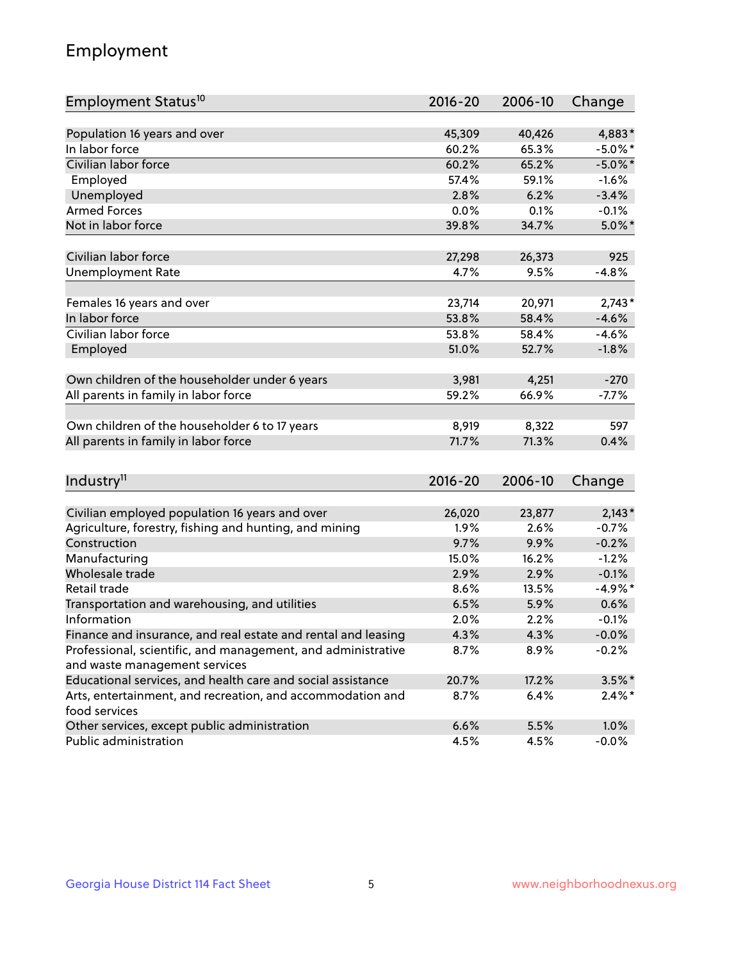## Employment

| Employment Status <sup>10</sup>                                             | $2016 - 20$ | 2006-10        | Change     |
|-----------------------------------------------------------------------------|-------------|----------------|------------|
|                                                                             |             |                |            |
| Population 16 years and over                                                | 45,309      | 40,426         | 4,883*     |
| In labor force                                                              | 60.2%       | 65.3%          | $-5.0\%$ * |
| Civilian labor force                                                        | 60.2%       | 65.2%          | $-5.0\%$ * |
| Employed                                                                    | 57.4%       | 59.1%          | $-1.6%$    |
| Unemployed                                                                  | 2.8%        | 6.2%           | $-3.4%$    |
| <b>Armed Forces</b>                                                         | 0.0%        | 0.1%           | $-0.1%$    |
| Not in labor force                                                          | 39.8%       | 34.7%          | $5.0\%$ *  |
| Civilian labor force                                                        | 27,298      |                | 925        |
|                                                                             |             | 26,373<br>9.5% |            |
| <b>Unemployment Rate</b>                                                    | 4.7%        |                | $-4.8%$    |
| Females 16 years and over                                                   | 23,714      | 20,971         | $2,743*$   |
| In labor force                                                              | 53.8%       | 58.4%          | $-4.6%$    |
| Civilian labor force                                                        | 53.8%       | 58.4%          | $-4.6%$    |
| Employed                                                                    | 51.0%       | 52.7%          | $-1.8%$    |
|                                                                             |             |                |            |
| Own children of the householder under 6 years                               | 3,981       | 4,251          | $-270$     |
| All parents in family in labor force                                        | 59.2%       | 66.9%          | $-7.7%$    |
| Own children of the householder 6 to 17 years                               | 8,919       | 8,322          | 597        |
| All parents in family in labor force                                        | 71.7%       | 71.3%          | 0.4%       |
|                                                                             |             |                |            |
| Industry <sup>11</sup>                                                      | $2016 - 20$ | 2006-10        | Change     |
|                                                                             |             |                |            |
| Civilian employed population 16 years and over                              | 26,020      | 23,877         | $2,143*$   |
| Agriculture, forestry, fishing and hunting, and mining                      | 1.9%        | 2.6%           | $-0.7%$    |
| Construction                                                                | 9.7%        | 9.9%           | $-0.2%$    |
| Manufacturing                                                               | 15.0%       | 16.2%          | $-1.2%$    |
| Wholesale trade                                                             | 2.9%        | 2.9%           | $-0.1%$    |
| Retail trade                                                                | 8.6%        | 13.5%          | $-4.9%$ *  |
| Transportation and warehousing, and utilities                               | 6.5%        | 5.9%           | 0.6%       |
| Information                                                                 | 2.0%        | 2.2%           | $-0.1%$    |
| Finance and insurance, and real estate and rental and leasing               | 4.3%        | 4.3%           | $-0.0%$    |
| Professional, scientific, and management, and administrative                | 8.7%        | 8.9%           | $-0.2%$    |
| and waste management services                                               |             |                |            |
| Educational services, and health care and social assistance                 | 20.7%       | 17.2%          | $3.5\%$ *  |
| Arts, entertainment, and recreation, and accommodation and<br>food services | 8.7%        | 6.4%           | $2.4\%$ *  |
| Other services, except public administration                                | 6.6%        | 5.5%           | 1.0%       |
| Public administration                                                       | 4.5%        | 4.5%           | $-0.0%$    |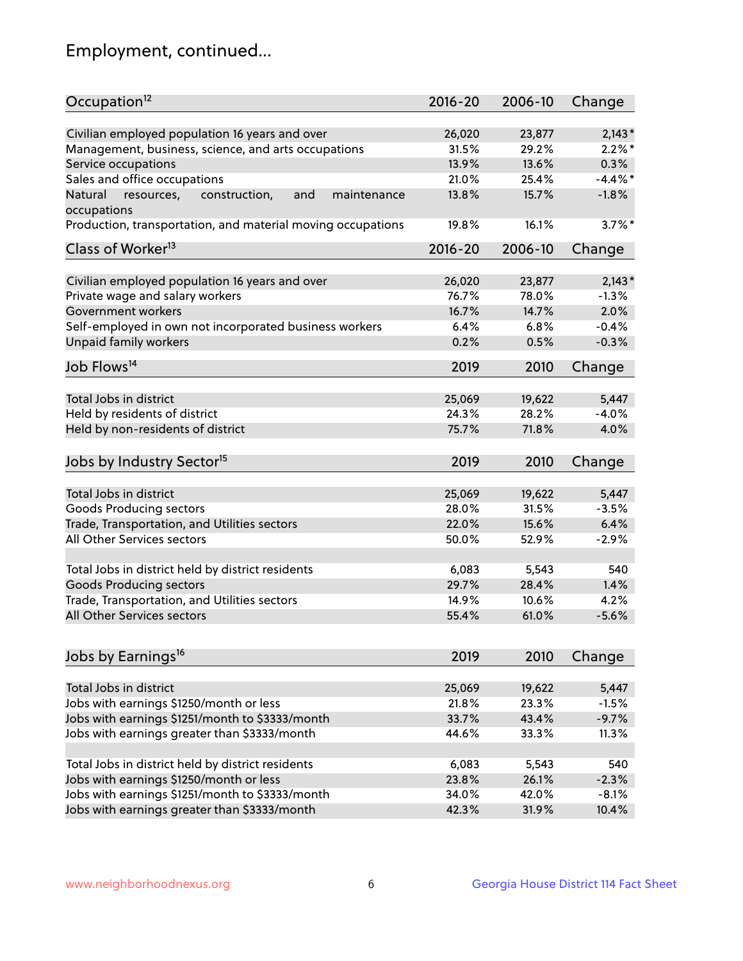## Employment, continued...

| Occupation <sup>12</sup>                                                    | $2016 - 20$ | 2006-10 | Change     |
|-----------------------------------------------------------------------------|-------------|---------|------------|
| Civilian employed population 16 years and over                              | 26,020      | 23,877  | $2,143*$   |
| Management, business, science, and arts occupations                         | 31.5%       | 29.2%   | $2.2\%$ *  |
| Service occupations                                                         | 13.9%       | 13.6%   | 0.3%       |
| Sales and office occupations                                                | 21.0%       | 25.4%   | $-4.4\%$ * |
|                                                                             |             |         | $-1.8%$    |
| Natural<br>and<br>resources,<br>construction,<br>maintenance<br>occupations | 13.8%       | 15.7%   |            |
| Production, transportation, and material moving occupations                 | 19.8%       | 16.1%   | $3.7\%$ *  |
| Class of Worker <sup>13</sup>                                               | $2016 - 20$ | 2006-10 | Change     |
|                                                                             |             |         |            |
| Civilian employed population 16 years and over                              | 26,020      | 23,877  | $2,143*$   |
| Private wage and salary workers                                             | 76.7%       | 78.0%   | $-1.3%$    |
| Government workers                                                          | 16.7%       | 14.7%   | 2.0%       |
| Self-employed in own not incorporated business workers                      | 6.4%        | 6.8%    | $-0.4%$    |
| Unpaid family workers                                                       | 0.2%        | 0.5%    | $-0.3%$    |
| Job Flows <sup>14</sup>                                                     | 2019        | 2010    | Change     |
|                                                                             |             |         |            |
| Total Jobs in district                                                      | 25,069      | 19,622  | 5,447      |
| Held by residents of district                                               | 24.3%       | 28.2%   | $-4.0%$    |
| Held by non-residents of district                                           | 75.7%       | 71.8%   | 4.0%       |
| Jobs by Industry Sector <sup>15</sup>                                       | 2019        | 2010    | Change     |
|                                                                             |             |         |            |
| Total Jobs in district                                                      | 25,069      | 19,622  | 5,447      |
| Goods Producing sectors                                                     | 28.0%       | 31.5%   | $-3.5%$    |
| Trade, Transportation, and Utilities sectors                                | 22.0%       | 15.6%   | 6.4%       |
| All Other Services sectors                                                  | 50.0%       | 52.9%   | $-2.9%$    |
| Total Jobs in district held by district residents                           | 6,083       | 5,543   | 540        |
| <b>Goods Producing sectors</b>                                              | 29.7%       | 28.4%   | 1.4%       |
| Trade, Transportation, and Utilities sectors                                | 14.9%       | 10.6%   | 4.2%       |
| All Other Services sectors                                                  | 55.4%       | 61.0%   | $-5.6%$    |
|                                                                             |             |         |            |
| Jobs by Earnings <sup>16</sup>                                              | 2019        | 2010    | Change     |
|                                                                             |             |         |            |
| Total Jobs in district                                                      | 25,069      | 19,622  | 5,447      |
| Jobs with earnings \$1250/month or less                                     | 21.8%       | 23.3%   | $-1.5%$    |
| Jobs with earnings \$1251/month to \$3333/month                             | 33.7%       | 43.4%   | $-9.7%$    |
| Jobs with earnings greater than \$3333/month                                | 44.6%       | 33.3%   | 11.3%      |
| Total Jobs in district held by district residents                           | 6,083       | 5,543   | 540        |
| Jobs with earnings \$1250/month or less                                     | 23.8%       | 26.1%   | $-2.3%$    |
| Jobs with earnings \$1251/month to \$3333/month                             | 34.0%       | 42.0%   | $-8.1%$    |
| Jobs with earnings greater than \$3333/month                                | 42.3%       | 31.9%   | 10.4%      |
|                                                                             |             |         |            |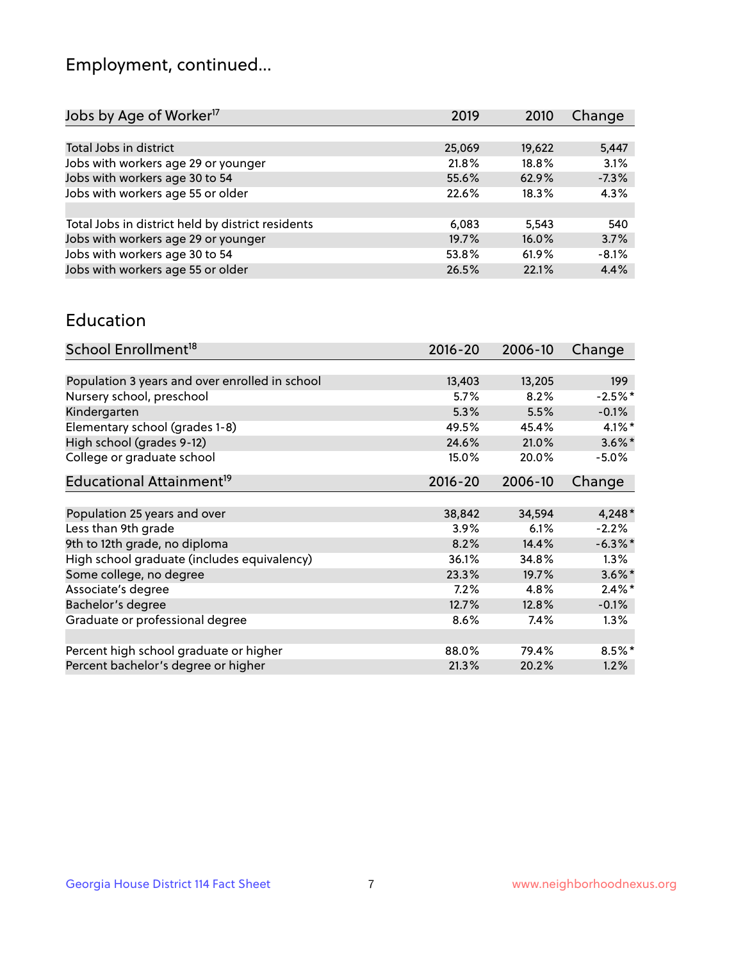## Employment, continued...

| Jobs by Age of Worker <sup>17</sup>               | 2019   | 2010   | Change  |
|---------------------------------------------------|--------|--------|---------|
|                                                   |        |        |         |
| Total Jobs in district                            | 25,069 | 19,622 | 5,447   |
| Jobs with workers age 29 or younger               | 21.8%  | 18.8%  | 3.1%    |
| Jobs with workers age 30 to 54                    | 55.6%  | 62.9%  | $-7.3%$ |
| Jobs with workers age 55 or older                 | 22.6%  | 18.3%  | 4.3%    |
|                                                   |        |        |         |
| Total Jobs in district held by district residents | 6,083  | 5.543  | 540     |
| Jobs with workers age 29 or younger               | 19.7%  | 16.0%  | 3.7%    |
| Jobs with workers age 30 to 54                    | 53.8%  | 61.9%  | $-8.1%$ |
| Jobs with workers age 55 or older                 | 26.5%  | 22.1%  | 4.4%    |
|                                                   |        |        |         |

#### Education

| School Enrollment <sup>18</sup>                | $2016 - 20$ | 2006-10 | Change     |
|------------------------------------------------|-------------|---------|------------|
|                                                |             |         |            |
| Population 3 years and over enrolled in school | 13,403      | 13,205  | 199        |
| Nursery school, preschool                      | 5.7%        | 8.2%    | $-2.5%$ *  |
| Kindergarten                                   | 5.3%        | 5.5%    | $-0.1%$    |
| Elementary school (grades 1-8)                 | 49.5%       | 45.4%   | $4.1\%$ *  |
| High school (grades 9-12)                      | 24.6%       | 21.0%   | $3.6\%$ *  |
| College or graduate school                     | 15.0%       | 20.0%   | $-5.0%$    |
| Educational Attainment <sup>19</sup>           | $2016 - 20$ | 2006-10 | Change     |
|                                                |             |         |            |
| Population 25 years and over                   | 38,842      | 34,594  | $4,248*$   |
| Less than 9th grade                            | 3.9%        | 6.1%    | $-2.2%$    |
| 9th to 12th grade, no diploma                  | 8.2%        | 14.4%   | $-6.3\%$ * |
| High school graduate (includes equivalency)    | 36.1%       | 34.8%   | $1.3\%$    |
| Some college, no degree                        | 23.3%       | 19.7%   | $3.6\%$ *  |
| Associate's degree                             | 7.2%        | 4.8%    | $2.4\%$ *  |
| Bachelor's degree                              | 12.7%       | 12.8%   | $-0.1%$    |
| Graduate or professional degree                | 8.6%        | 7.4%    | $1.3\%$    |
|                                                |             |         |            |
| Percent high school graduate or higher         | 88.0%       | 79.4%   | 8.5%*      |
| Percent bachelor's degree or higher            | 21.3%       | 20.2%   | 1.2%       |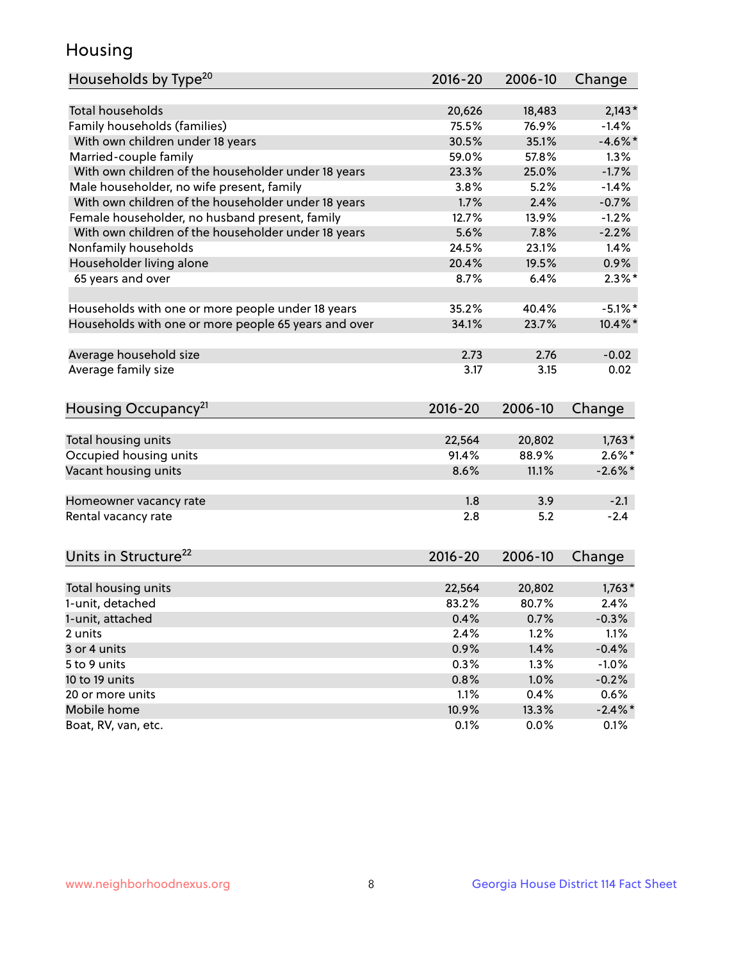## Housing

| Households by Type <sup>20</sup>                     | 2016-20 | 2006-10 | Change     |
|------------------------------------------------------|---------|---------|------------|
|                                                      |         |         |            |
| <b>Total households</b>                              | 20,626  | 18,483  | $2,143*$   |
| Family households (families)                         | 75.5%   | 76.9%   | $-1.4%$    |
| With own children under 18 years                     | 30.5%   | 35.1%   | $-4.6\%$ * |
| Married-couple family                                | 59.0%   | 57.8%   | 1.3%       |
| With own children of the householder under 18 years  | 23.3%   | 25.0%   | $-1.7%$    |
| Male householder, no wife present, family            | 3.8%    | 5.2%    | $-1.4%$    |
| With own children of the householder under 18 years  | 1.7%    | 2.4%    | $-0.7%$    |
| Female householder, no husband present, family       | 12.7%   | 13.9%   | $-1.2%$    |
| With own children of the householder under 18 years  | 5.6%    | 7.8%    | $-2.2%$    |
| Nonfamily households                                 | 24.5%   | 23.1%   | 1.4%       |
| Householder living alone                             | 20.4%   | 19.5%   | 0.9%       |
| 65 years and over                                    | 8.7%    | 6.4%    | $2.3\%$ *  |
|                                                      |         |         |            |
| Households with one or more people under 18 years    | 35.2%   | 40.4%   | $-5.1\%$ * |
| Households with one or more people 65 years and over | 34.1%   | 23.7%   | $10.4\%$ * |
|                                                      |         |         |            |
| Average household size                               | 2.73    | 2.76    | $-0.02$    |
| Average family size                                  | 3.17    | 3.15    | 0.02       |
|                                                      |         |         |            |
| Housing Occupancy <sup>21</sup>                      | 2016-20 | 2006-10 | Change     |
|                                                      |         |         |            |
| Total housing units                                  | 22,564  | 20,802  | $1,763*$   |
| Occupied housing units                               | 91.4%   | 88.9%   | $2.6\%*$   |
| Vacant housing units                                 | 8.6%    | 11.1%   | $-2.6\%$ * |
|                                                      |         |         |            |
| Homeowner vacancy rate                               | 1.8     | 3.9     | $-2.1$     |
| Rental vacancy rate                                  | 2.8     | 5.2     | $-2.4$     |
|                                                      |         |         |            |
| Units in Structure <sup>22</sup>                     | 2016-20 | 2006-10 |            |
|                                                      |         |         | Change     |
| Total housing units                                  | 22,564  | 20,802  | $1,763*$   |
| 1-unit, detached                                     | 83.2%   | 80.7%   | 2.4%       |
| 1-unit, attached                                     | 0.4%    | 0.7%    | $-0.3%$    |
| 2 units                                              | 2.4%    | 1.2%    | 1.1%       |
| 3 or 4 units                                         | 0.9%    | 1.4%    | $-0.4%$    |
| 5 to 9 units                                         | 0.3%    | 1.3%    | $-1.0%$    |
| 10 to 19 units                                       | 0.8%    | 1.0%    | $-0.2%$    |
| 20 or more units                                     | 1.1%    | 0.4%    | 0.6%       |
| Mobile home                                          | 10.9%   | 13.3%   | $-2.4\%$ * |
| Boat, RV, van, etc.                                  | 0.1%    | 0.0%    | 0.1%       |
|                                                      |         |         |            |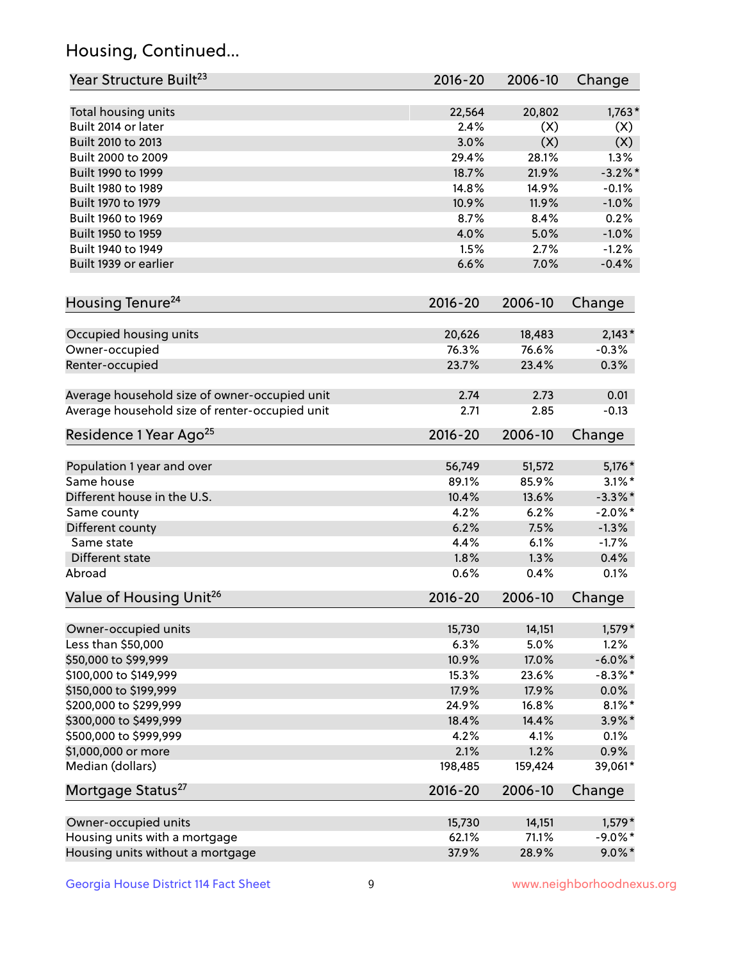## Housing, Continued...

| Year Structure Built <sup>23</sup>             | 2016-20     | 2006-10 | Change     |
|------------------------------------------------|-------------|---------|------------|
| Total housing units                            | 22,564      | 20,802  | $1,763*$   |
| Built 2014 or later                            | 2.4%        | (X)     | (X)        |
| Built 2010 to 2013                             | 3.0%        | (X)     | (X)        |
| Built 2000 to 2009                             | 29.4%       | 28.1%   | 1.3%       |
| Built 1990 to 1999                             | 18.7%       | 21.9%   | $-3.2\%$ * |
| Built 1980 to 1989                             | 14.8%       | 14.9%   | $-0.1%$    |
| Built 1970 to 1979                             | 10.9%       | 11.9%   | $-1.0%$    |
| Built 1960 to 1969                             | 8.7%        | 8.4%    | 0.2%       |
| Built 1950 to 1959                             | 4.0%        | 5.0%    | $-1.0%$    |
| Built 1940 to 1949                             | 1.5%        | 2.7%    | $-1.2%$    |
| Built 1939 or earlier                          | 6.6%        | 7.0%    | $-0.4%$    |
| Housing Tenure <sup>24</sup>                   | 2016-20     | 2006-10 | Change     |
|                                                |             |         |            |
| Occupied housing units                         | 20,626      | 18,483  | $2,143*$   |
| Owner-occupied                                 | 76.3%       | 76.6%   | $-0.3%$    |
| Renter-occupied                                | 23.7%       | 23.4%   | 0.3%       |
| Average household size of owner-occupied unit  | 2.74        | 2.73    | 0.01       |
| Average household size of renter-occupied unit | 2.71        | 2.85    | $-0.13$    |
| Residence 1 Year Ago <sup>25</sup>             | 2016-20     | 2006-10 | Change     |
| Population 1 year and over                     | 56,749      | 51,572  | 5,176 *    |
| Same house                                     | 89.1%       | 85.9%   | $3.1\%$ *  |
| Different house in the U.S.                    | 10.4%       | 13.6%   | $-3.3\%$ * |
| Same county                                    | 4.2%        | 6.2%    | $-2.0\%$ * |
| Different county                               | 6.2%        | 7.5%    | $-1.3%$    |
| Same state                                     | 4.4%        | 6.1%    | $-1.7%$    |
| Different state                                | 1.8%        | 1.3%    | 0.4%       |
| Abroad                                         | 0.6%        | 0.4%    | 0.1%       |
| Value of Housing Unit <sup>26</sup>            | $2016 - 20$ | 2006-10 | Change     |
|                                                |             |         |            |
| Owner-occupied units                           | 15,730      | 14,151  | $1,579*$   |
| Less than \$50,000                             | 6.3%        | 5.0%    | 1.2%       |
| \$50,000 to \$99,999                           | 10.9%       | 17.0%   | $-6.0\%$ * |
| \$100,000 to \$149,999                         | 15.3%       | 23.6%   | $-8.3\%$ * |
| \$150,000 to \$199,999                         | 17.9%       | 17.9%   | $0.0\%$    |
| \$200,000 to \$299,999                         | 24.9%       | 16.8%   | $8.1\%$ *  |
| \$300,000 to \$499,999                         | 18.4%       | 14.4%   | $3.9\%$ *  |
| \$500,000 to \$999,999                         | 4.2%        | 4.1%    | 0.1%       |
| \$1,000,000 or more                            | 2.1%        | 1.2%    | 0.9%       |
| Median (dollars)                               | 198,485     | 159,424 | 39,061*    |
| Mortgage Status <sup>27</sup>                  | $2016 - 20$ | 2006-10 | Change     |
| Owner-occupied units                           | 15,730      | 14,151  | $1,579*$   |
| Housing units with a mortgage                  | 62.1%       | 71.1%   | $-9.0\%$ * |
| Housing units without a mortgage               | 37.9%       | 28.9%   | $9.0\%$ *  |
|                                                |             |         |            |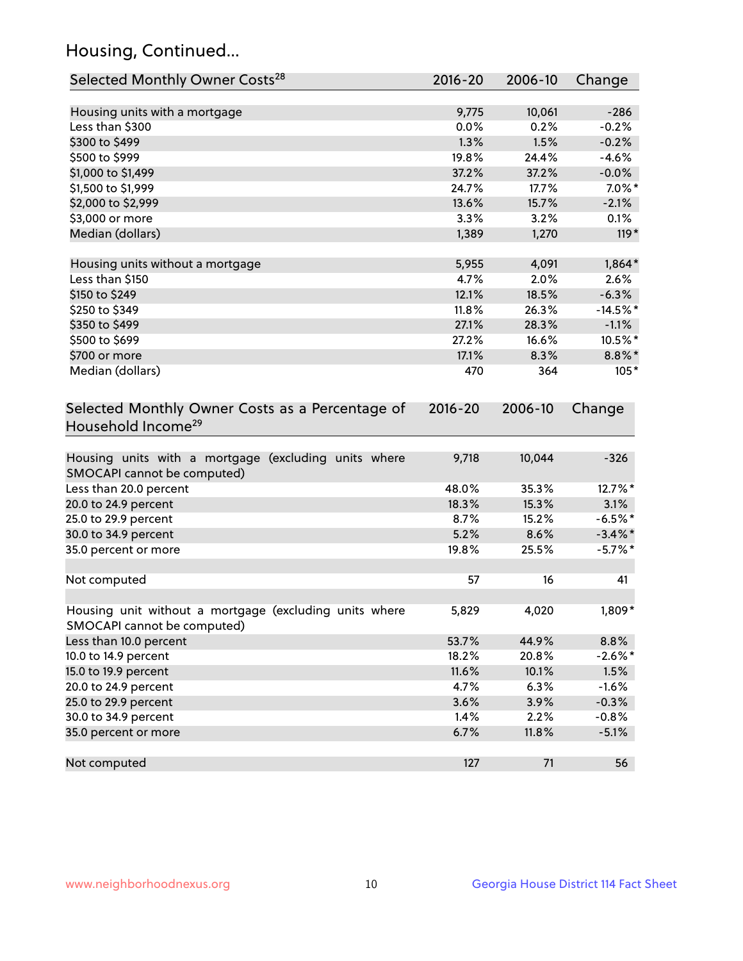## Housing, Continued...

| Selected Monthly Owner Costs <sup>28</sup>                                            | $2016 - 20$ | 2006-10 | Change     |
|---------------------------------------------------------------------------------------|-------------|---------|------------|
| Housing units with a mortgage                                                         | 9,775       | 10,061  | $-286$     |
| Less than \$300                                                                       | 0.0%        | 0.2%    | $-0.2%$    |
| \$300 to \$499                                                                        | 1.3%        | 1.5%    | $-0.2%$    |
| \$500 to \$999                                                                        | 19.8%       | 24.4%   | $-4.6%$    |
| \$1,000 to \$1,499                                                                    | 37.2%       | 37.2%   | $-0.0\%$   |
| \$1,500 to \$1,999                                                                    | 24.7%       | 17.7%   | $7.0\%$ *  |
| \$2,000 to \$2,999                                                                    | 13.6%       | 15.7%   | $-2.1%$    |
| \$3,000 or more                                                                       | 3.3%        | 3.2%    | 0.1%       |
| Median (dollars)                                                                      | 1,389       | 1,270   | 119*       |
| Housing units without a mortgage                                                      | 5,955       | 4,091   | $1,864*$   |
| Less than \$150                                                                       | 4.7%        | 2.0%    | 2.6%       |
| \$150 to \$249                                                                        | 12.1%       | 18.5%   | $-6.3%$    |
| \$250 to \$349                                                                        | 11.8%       | 26.3%   | $-14.5%$ * |
| \$350 to \$499                                                                        | 27.1%       | 28.3%   | $-1.1%$    |
| \$500 to \$699                                                                        | 27.2%       | 16.6%   | 10.5%*     |
| \$700 or more                                                                         | 17.1%       | 8.3%    | $8.8\%$ *  |
| Median (dollars)                                                                      | 470         | 364     | $105*$     |
| Selected Monthly Owner Costs as a Percentage of<br>Household Income <sup>29</sup>     | $2016 - 20$ | 2006-10 | Change     |
| Housing units with a mortgage (excluding units where<br>SMOCAPI cannot be computed)   | 9,718       | 10,044  | $-326$     |
| Less than 20.0 percent                                                                | 48.0%       | 35.3%   | 12.7%*     |
| 20.0 to 24.9 percent                                                                  | 18.3%       | 15.3%   | 3.1%       |
| 25.0 to 29.9 percent                                                                  | 8.7%        | 15.2%   | $-6.5%$ *  |
| 30.0 to 34.9 percent                                                                  | 5.2%        | 8.6%    | $-3.4\%$ * |
| 35.0 percent or more                                                                  | 19.8%       | 25.5%   | $-5.7\%$ * |
| Not computed                                                                          | 57          | 16      | 41         |
| Housing unit without a mortgage (excluding units where<br>SMOCAPI cannot be computed) | 5,829       | 4,020   | 1,809*     |
| Less than 10.0 percent                                                                | 53.7%       | 44.9%   | 8.8%       |
| 10.0 to 14.9 percent                                                                  | 18.2%       | 20.8%   | $-2.6\%$ * |
| 15.0 to 19.9 percent                                                                  | 11.6%       | 10.1%   | 1.5%       |
| 20.0 to 24.9 percent                                                                  | 4.7%        | 6.3%    | $-1.6%$    |
| 25.0 to 29.9 percent                                                                  | 3.6%        | 3.9%    | $-0.3%$    |
| 30.0 to 34.9 percent                                                                  | 1.4%        | 2.2%    | $-0.8%$    |
| 35.0 percent or more                                                                  | 6.7%        | 11.8%   | $-5.1%$    |
| Not computed                                                                          | 127         | 71      | 56         |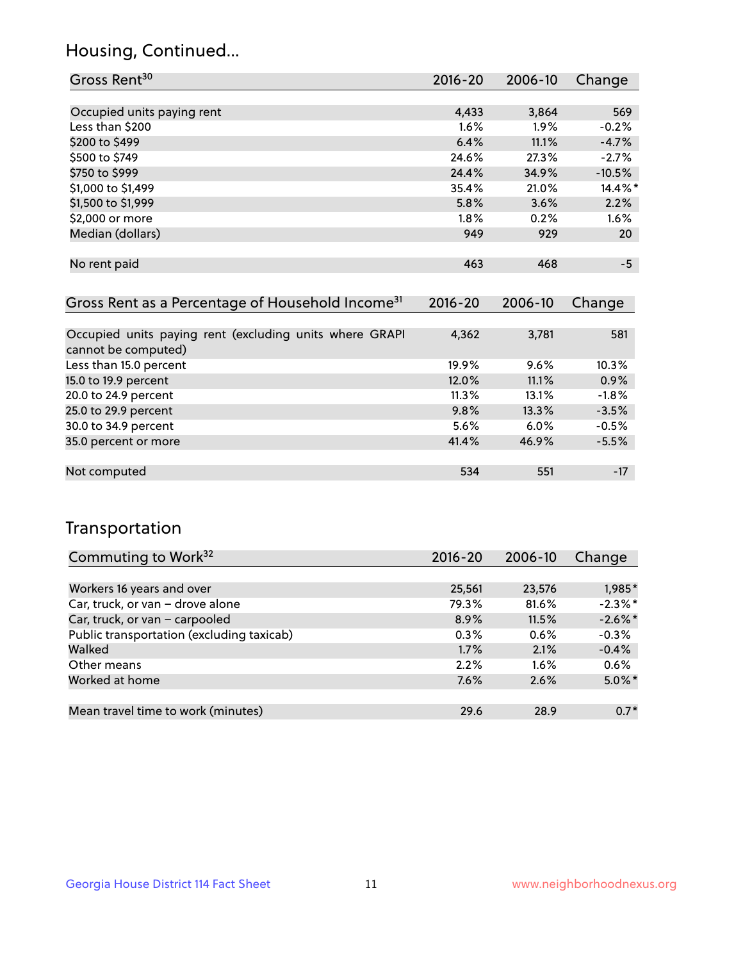## Housing, Continued...

| Gross Rent <sup>30</sup>   | 2016-20 | 2006-10 | Change   |
|----------------------------|---------|---------|----------|
|                            |         |         |          |
| Occupied units paying rent | 4,433   | 3,864   | 569      |
| Less than \$200            | 1.6%    | 1.9%    | $-0.2%$  |
| \$200 to \$499             | 6.4%    | 11.1%   | $-4.7%$  |
| \$500 to \$749             | 24.6%   | 27.3%   | $-2.7%$  |
| \$750 to \$999             | 24.4%   | 34.9%   | $-10.5%$ |
| \$1,000 to \$1,499         | 35.4%   | 21.0%   | 14.4%*   |
| \$1,500 to \$1,999         | 5.8%    | 3.6%    | 2.2%     |
| \$2,000 or more            | $1.8\%$ | 0.2%    | 1.6%     |
| Median (dollars)           | 949     | 929     | 20       |
|                            |         |         |          |
| No rent paid               | 463     | 468     | -5       |
|                            |         |         |          |

| Gross Rent as a Percentage of Household Income <sup>31</sup>                   | $2016 - 20$ | 2006-10 | Change  |
|--------------------------------------------------------------------------------|-------------|---------|---------|
|                                                                                |             |         |         |
| Occupied units paying rent (excluding units where GRAPI<br>cannot be computed) | 4,362       | 3,781   | 581     |
| Less than 15.0 percent                                                         | 19.9%       | 9.6%    | 10.3%   |
| 15.0 to 19.9 percent                                                           | 12.0%       | 11.1%   | 0.9%    |
| 20.0 to 24.9 percent                                                           | $11.3\%$    | 13.1%   | $-1.8%$ |
| 25.0 to 29.9 percent                                                           | 9.8%        | 13.3%   | $-3.5%$ |
| 30.0 to 34.9 percent                                                           | 5.6%        | $6.0\%$ | $-0.5%$ |
| 35.0 percent or more                                                           | 41.4%       | 46.9%   | $-5.5%$ |
|                                                                                |             |         |         |
| Not computed                                                                   | 534         | 551     | $-17$   |

## Transportation

| Commuting to Work <sup>32</sup>           | 2016-20 | 2006-10 | Change     |
|-------------------------------------------|---------|---------|------------|
|                                           |         |         |            |
| Workers 16 years and over                 | 25,561  | 23,576  | 1,985*     |
| Car, truck, or van - drove alone          | 79.3%   | 81.6%   | $-2.3\%$ * |
| Car, truck, or van - carpooled            | 8.9%    | 11.5%   | $-2.6\%$ * |
| Public transportation (excluding taxicab) | 0.3%    | 0.6%    | $-0.3%$    |
| Walked                                    | 1.7%    | 2.1%    | $-0.4%$    |
| Other means                               | 2.2%    | $1.6\%$ | 0.6%       |
| Worked at home                            | 7.6%    | 2.6%    | $5.0\%$ *  |
|                                           |         |         |            |
| Mean travel time to work (minutes)        | 29.6    | 28.9    | $0.7*$     |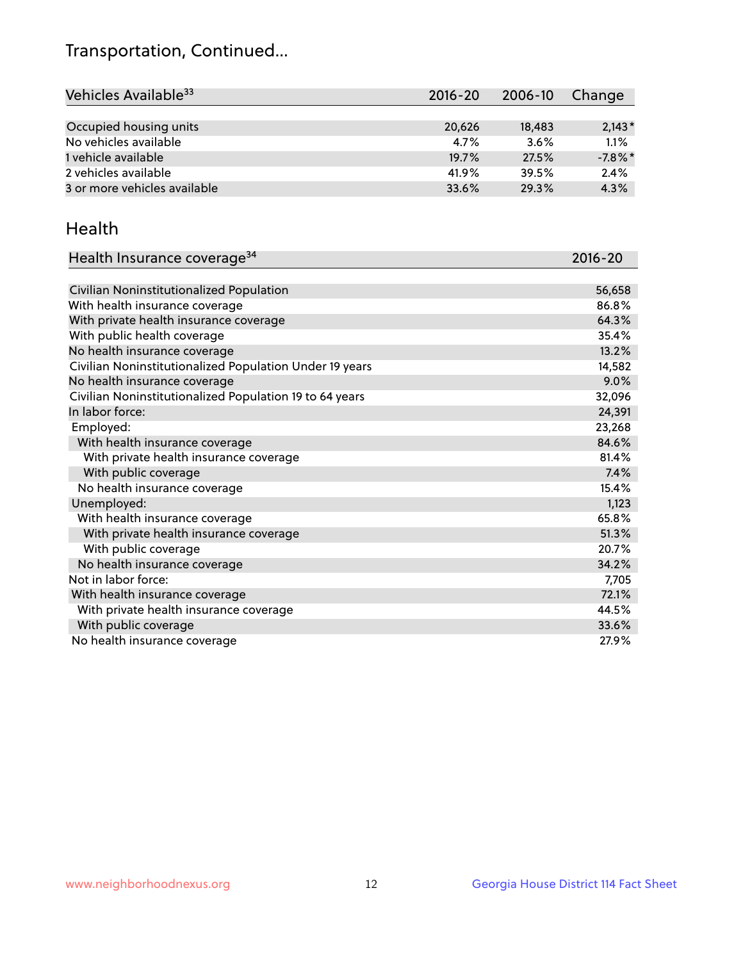## Transportation, Continued...

| Vehicles Available <sup>33</sup> | 2016-20 | 2006-10 | Change     |
|----------------------------------|---------|---------|------------|
|                                  |         |         |            |
| Occupied housing units           | 20,626  | 18,483  | $2,143*$   |
| No vehicles available            | 4.7%    | 3.6%    | 1.1%       |
| 1 vehicle available              | 19.7%   | 27.5%   | $-7.8\%$ * |
| 2 vehicles available             | 41.9%   | 39.5%   | 2.4%       |
| 3 or more vehicles available     | 33.6%   | 29.3%   | 4.3%       |

#### Health

| Health Insurance coverage <sup>34</sup>                 | 2016-20 |
|---------------------------------------------------------|---------|
|                                                         |         |
| Civilian Noninstitutionalized Population                | 56,658  |
| With health insurance coverage                          | 86.8%   |
| With private health insurance coverage                  | 64.3%   |
| With public health coverage                             | 35.4%   |
| No health insurance coverage                            | 13.2%   |
| Civilian Noninstitutionalized Population Under 19 years | 14,582  |
| No health insurance coverage                            | 9.0%    |
| Civilian Noninstitutionalized Population 19 to 64 years | 32,096  |
| In labor force:                                         | 24,391  |
| Employed:                                               | 23,268  |
| With health insurance coverage                          | 84.6%   |
| With private health insurance coverage                  | 81.4%   |
| With public coverage                                    | 7.4%    |
| No health insurance coverage                            | 15.4%   |
| Unemployed:                                             | 1,123   |
| With health insurance coverage                          | 65.8%   |
| With private health insurance coverage                  | 51.3%   |
| With public coverage                                    | 20.7%   |
| No health insurance coverage                            | 34.2%   |
| Not in labor force:                                     | 7,705   |
| With health insurance coverage                          | 72.1%   |
| With private health insurance coverage                  | 44.5%   |
| With public coverage                                    | 33.6%   |
| No health insurance coverage                            | 27.9%   |